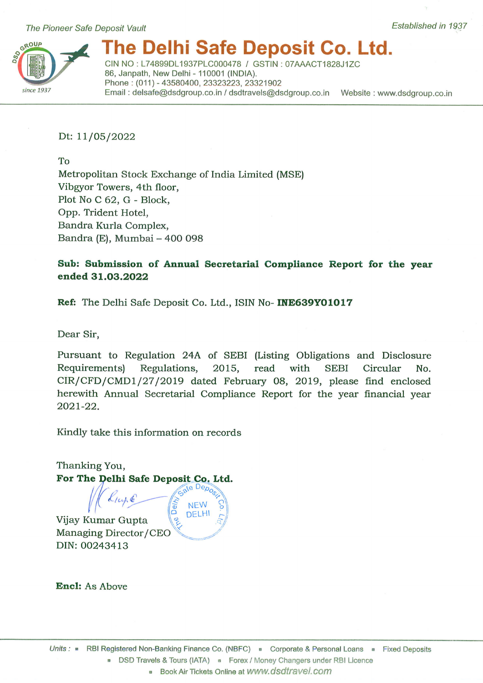

# he Delhi Safe Deposit Co. Ltd.

CIN NO: L74899DL1937PLC000478 / GSTIN: 07AAACT1828J1ZC 86, Janpath, New Delhi - 110001 (INDIA). Phone: (011) - 43580400, 23323223, 23321902 Email: delsafe@dsdgroup.co.in / dsdtravels@dsdgroup.co.in Website: www.dsdgroup.co.in

## Dt: 11/05/2022

To

Metropolitan Stock Exchange of India Limited (MSE) Vibgyor Towers, 4th floor, Plot No C 62, G - Block, Opp. Trident Hotel, Bandra Kurla Complex, Bandra (E), Mumbai - 400 098

# Sub: Submission of Annual Secretarial Compliance Report for the year ended 31.03.2022

Ref: The Delhi Safe Deposit Co. Ltd., ISIN No- INE639Y01017

**NEW** DELHI

Dear Sir,

Pursuant to Regulation 24A of SEBI (Listing Obligations and Disclosure with **SEBI** Requirements) Regulations, 2015, read Circular No. CIR/CFD/CMD1/27/2019 dated February 08, 2019, please find enclosed herewith Annual Secretarial Compliance Report for the year financial year  $2021 - 22.$ 

Kindly take this information on records

Thanking You, For The Delhi Safe Deposit Co. Ltd.

Vijay Kumar Gupta Managing Director/CEO DIN: 00243413

**Encl:** As Above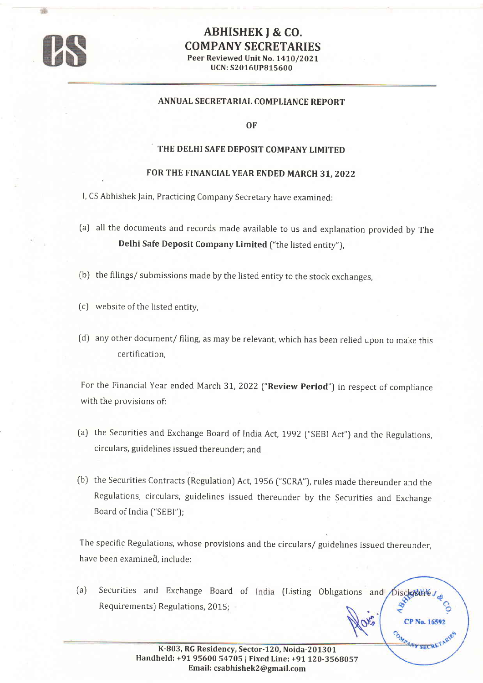

## ABHISHEK J & CO. COMPANY SECRETARIES Peer Reviewed Unit No. 1410/2021 UCN: 52016UP815600

#### ANNUAL SECRETARIAL COMPLIANCE REPORT

OF

### THE DELHI SAFE DEPOSIT COMPANY LIMITED

#### FOR THE FINANCIAL YEAR ENDED MARCH 31, 2022

I, CS Abhishek Jain, Practicing Company Secretary have examined:

- (a) all the documents and records made available to us and explanation provided by The Delhi Safe Deposit Company Limited ("the listed entity").
- (b) the filings/ submissions made by the listed entity to the stock exchanges,
- (c) website of the listed entity,
- (d) any other document/ filing, as may be relevant, which has been relied upon to make this certification.

For the Financial Year ended March 31, 2022 ("Review Period") in respect of compliance with the provisions of:

- (a) the Securities and Exchange Board of India Act, 1992 ("SEBI Act") and the Regulations, circulars, guidelines issued thereunder; and
- (b) the Securities Contracts [Regulation) Act, 1956 ["SCRA"), rules made thereunder and the Regulations, circulars, guidelines issued thereunder by the Securities and Exchange Board of India ("SEBI");

The specific Regulations, whose provisions and the circulars/ guidelines issued thereunder, have been examined, include:

(a) Securities and Exchange Board of India (Listing Obligations and Disclosure. BR Requirements) Regulations, 2015;

COMPANY SECRET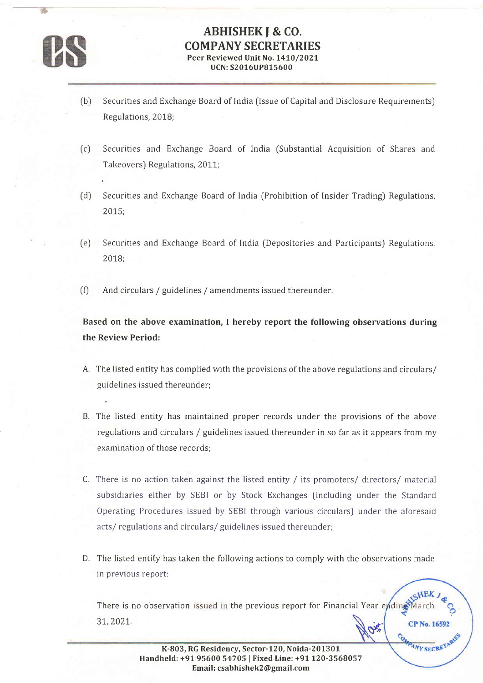

'\*

# ABHISHEK J & CO. COMPANY SECRETARIES Peer Reviewed Unit No. 1410/2021 UCN: 52016UP815600

- (b) Securities and Exchange Board of India (Issue of Capital and Disclosure Requirements) Regulations, 2018;
- (c) Securities and Exchange Board of lndia (Substantial Acquisition of Shares and Takeovers) Regulations, 2011;
- Securities and Exchange Board of India (Prohibition of Insider Trading) Regulations, 2015; (d)
- Securities and Exchange Board of India (Depositories and Participants) Regulations, 2078;  $(e)$
- And circulars / guidelines / amendments issued thereunder.  $(f)$

Based on the above examination, I hereby report the following observations during the Review Period:

- A, The listed entity has complied with the provisions of the above regulations and circulars/ guidelnes issued thereunder;
- B. The listed entity has maintained proper records under the provisions of the above regulations and circulars / guidelines issued thereunder in so far as it appears from my examination of those records;
- C. There is no action taken against the listed entity / its promoters/ directors/ material subsidiaries either by SEBI or by Stock Exchanges (including under the Standard Operating Procedures issued by SEBI through various circulars) under the aforesaid acts/ regulations and circulars/ guidelines issued thereunder;
- D. The listed entity has taken the following actions to comply with the observations made in previous report:

There is no observation issued in the previous report for Financial Year e 3r,2027. **CP No. 16592**  $\mathcal{G}^{\mathbf{v}}$ 

MAY SECRETARIES